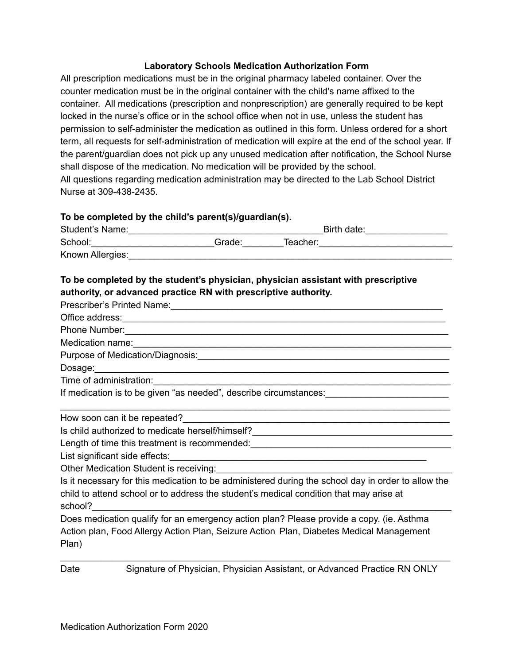### **Laboratory Schools Medication Authorization Form**

All prescription medications must be in the original pharmacy labeled container. Over the counter medication must be in the original container with the child's name affixed to the container. All medications (prescription and nonprescription) are generally required to be kept locked in the nurse's office or in the school office when not in use, unless the student has permission to self-administer the medication as outlined in this form. Unless ordered for a short term, all requests for self-administration of medication will expire at the end of the school year. If the parent/guardian does not pick up any unused medication after notification, the School Nurse shall dispose of the medication. No medication will be provided by the school. All questions regarding medication administration may be directed to the Lab School District Nurse at 309-438-2435.

### **To be completed by the child's parent(s)/guardian(s).**

| Student's Name:  |        | Birth date: |  |
|------------------|--------|-------------|--|
| School:          | Grade: | Teacher:    |  |
| Known Allergies: |        |             |  |

# **To be completed by the student's physician, physician assistant with prescriptive authority, or advanced practice RN with prescriptive authority.**

| Phone Number: 2008 Company of the Manual Account of the Manual Account of the Manual Account of the Manual Account of the Manual Account of the Manual Account of the Manual Account of the Manual Account of the Manual Accou         |  |  |
|----------------------------------------------------------------------------------------------------------------------------------------------------------------------------------------------------------------------------------------|--|--|
|                                                                                                                                                                                                                                        |  |  |
|                                                                                                                                                                                                                                        |  |  |
|                                                                                                                                                                                                                                        |  |  |
|                                                                                                                                                                                                                                        |  |  |
| If medication is to be given "as needed", describe circumstances: _________________________________                                                                                                                                    |  |  |
|                                                                                                                                                                                                                                        |  |  |
| How soon can it be repeated?<br><u> Letting and the second contract of the second contract of the second contract of the second contract of the second contract of the second contract of the second contract of the second contra</u> |  |  |
|                                                                                                                                                                                                                                        |  |  |
|                                                                                                                                                                                                                                        |  |  |
|                                                                                                                                                                                                                                        |  |  |
| Other Medication Student is receiving: Manual Accords Accords Medication Student is receiving:                                                                                                                                         |  |  |
| Is it necessary for this medication to be administered during the school day in order to allow the<br>child to attend school or to address the student's medical condition that may arise at<br>school?                                |  |  |
| Does medication qualify for an emergency action plan? Please provide a copy. (ie. Asthma                                                                                                                                               |  |  |
| Action plan, Food Allergy Action Plan, Seizure Action Plan, Diabetes Medical Management<br>Plan)                                                                                                                                       |  |  |
| Signature of Physician, Physician Assistant, or Advanced Practice RN ONLY<br>Date                                                                                                                                                      |  |  |